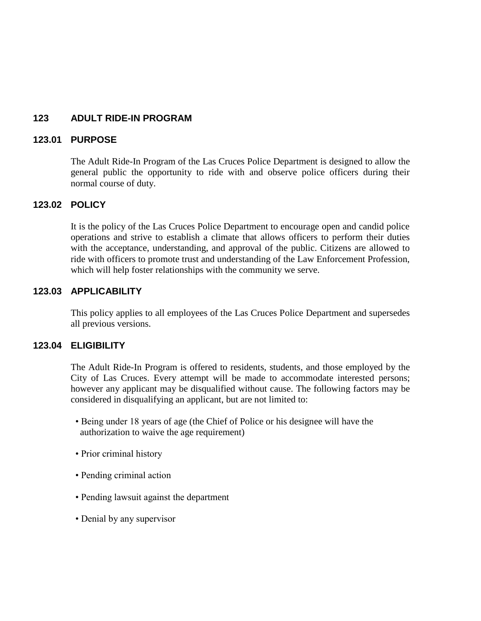#### **123 ADULT RIDE-IN PROGRAM**

#### **123.01 PURPOSE**

The Adult Ride-In Program of the Las Cruces Police Department is designed to allow the general public the opportunity to ride with and observe police officers during their normal course of duty.

#### **123.02 POLICY**

It is the policy of the Las Cruces Police Department to encourage open and candid police operations and strive to establish a climate that allows officers to perform their duties with the acceptance, understanding, and approval of the public. Citizens are allowed to ride with officers to promote trust and understanding of the Law Enforcement Profession, which will help foster relationships with the community we serve.

#### **123.03 APPLICABILITY**

This policy applies to all employees of the Las Cruces Police Department and supersedes all previous versions.

#### **123.04 ELIGIBILITY**

The Adult Ride-In Program is offered to residents, students, and those employed by the City of Las Cruces. Every attempt will be made to accommodate interested persons; however any applicant may be disqualified without cause. The following factors may be considered in disqualifying an applicant, but are not limited to:

- Being under 18 years of age (the Chief of Police or his designee will have the authorization to waive the age requirement)
- Prior criminal history
- Pending criminal action
- Pending lawsuit against the department
- Denial by any supervisor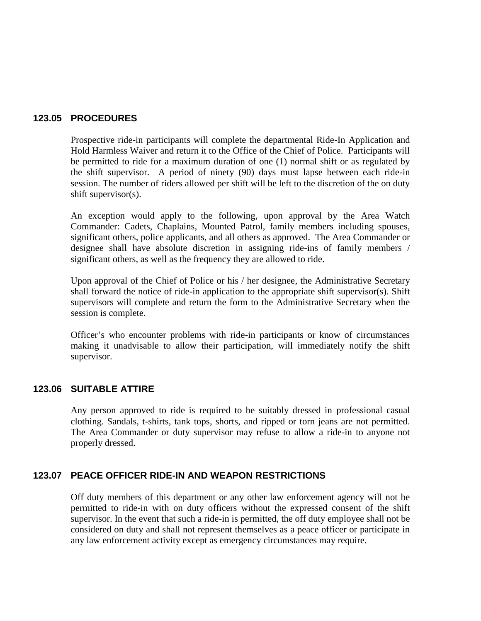#### **123.05 PROCEDURES**

Prospective ride-in participants will complete the departmental Ride-In Application and Hold Harmless Waiver and return it to the Office of the Chief of Police. Participants will be permitted to ride for a maximum duration of one (1) normal shift or as regulated by the shift supervisor. A period of ninety (90) days must lapse between each ride-in session. The number of riders allowed per shift will be left to the discretion of the on duty shift supervisor(s).

An exception would apply to the following, upon approval by the Area Watch Commander: Cadets, Chaplains, Mounted Patrol, family members including spouses, significant others, police applicants, and all others as approved. The Area Commander or designee shall have absolute discretion in assigning ride-ins of family members / significant others, as well as the frequency they are allowed to ride.

Upon approval of the Chief of Police or his / her designee, the Administrative Secretary shall forward the notice of ride-in application to the appropriate shift supervisor(s). Shift supervisors will complete and return the form to the Administrative Secretary when the session is complete.

Officer's who encounter problems with ride-in participants or know of circumstances making it unadvisable to allow their participation, will immediately notify the shift supervisor.

#### **123.06 SUITABLE ATTIRE**

Any person approved to ride is required to be suitably dressed in professional casual clothing. Sandals, t-shirts, tank tops, shorts, and ripped or torn jeans are not permitted. The Area Commander or duty supervisor may refuse to allow a ride-in to anyone not properly dressed.

#### **123.07 PEACE OFFICER RIDE-IN AND WEAPON RESTRICTIONS**

Off duty members of this department or any other law enforcement agency will not be permitted to ride-in with on duty officers without the expressed consent of the shift supervisor. In the event that such a ride-in is permitted, the off duty employee shall not be considered on duty and shall not represent themselves as a peace officer or participate in any law enforcement activity except as emergency circumstances may require.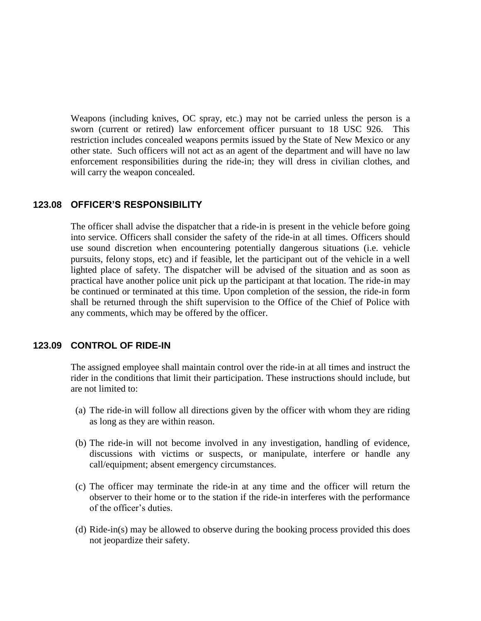Weapons (including knives, OC spray, etc.) may not be carried unless the person is a sworn (current or retired) law enforcement officer pursuant to 18 USC 926. This restriction includes concealed weapons permits issued by the State of New Mexico or any other state. Such officers will not act as an agent of the department and will have no law enforcement responsibilities during the ride-in; they will dress in civilian clothes, and will carry the weapon concealed.

#### **123.08 OFFICER'S RESPONSIBILITY**

The officer shall advise the dispatcher that a ride-in is present in the vehicle before going into service. Officers shall consider the safety of the ride-in at all times. Officers should use sound discretion when encountering potentially dangerous situations (i.e. vehicle pursuits, felony stops, etc) and if feasible, let the participant out of the vehicle in a well lighted place of safety. The dispatcher will be advised of the situation and as soon as practical have another police unit pick up the participant at that location. The ride-in may be continued or terminated at this time. Upon completion of the session, the ride-in form shall be returned through the shift supervision to the Office of the Chief of Police with any comments, which may be offered by the officer.

#### **123.09 CONTROL OF RIDE-IN**

The assigned employee shall maintain control over the ride-in at all times and instruct the rider in the conditions that limit their participation. These instructions should include, but are not limited to:

- (a) The ride-in will follow all directions given by the officer with whom they are riding as long as they are within reason.
- (b) The ride-in will not become involved in any investigation, handling of evidence, discussions with victims or suspects, or manipulate, interfere or handle any call/equipment; absent emergency circumstances.
- (c) The officer may terminate the ride-in at any time and the officer will return the observer to their home or to the station if the ride-in interferes with the performance of the officer's duties.
- (d) Ride-in(s) may be allowed to observe during the booking process provided this does not jeopardize their safety.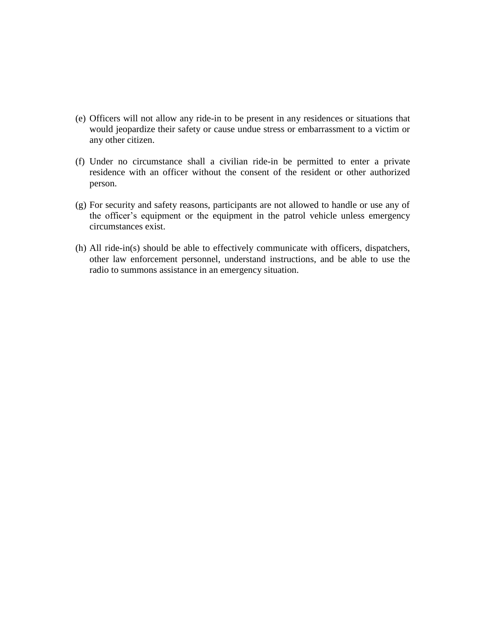- (e) Officers will not allow any ride-in to be present in any residences or situations that would jeopardize their safety or cause undue stress or embarrassment to a victim or any other citizen.
- (f) Under no circumstance shall a civilian ride-in be permitted to enter a private residence with an officer without the consent of the resident or other authorized person.
- (g) For security and safety reasons, participants are not allowed to handle or use any of the officer's equipment or the equipment in the patrol vehicle unless emergency circumstances exist.
- (h) All ride-in(s) should be able to effectively communicate with officers, dispatchers, other law enforcement personnel, understand instructions, and be able to use the radio to summons assistance in an emergency situation.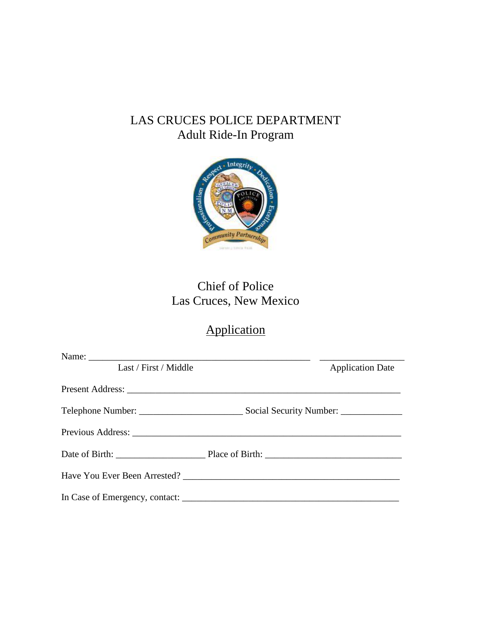# LAS CRUCES POLICE DEPARTMENT Adult Ride-In Program



# Chief of Police Las Cruces, New Mexico

# Application

| Last / First / Middle | <b>Application Date</b>               |  |
|-----------------------|---------------------------------------|--|
|                       |                                       |  |
|                       | Social Security Number: _____________ |  |
|                       |                                       |  |
|                       |                                       |  |
|                       |                                       |  |
|                       |                                       |  |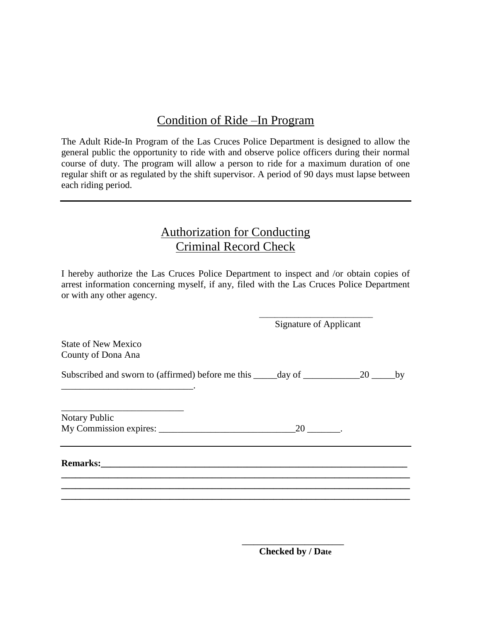## Condition of Ride –In Program

The Adult Ride-In Program of the Las Cruces Police Department is designed to allow the general public the opportunity to ride with and observe police officers during their normal course of duty. The program will allow a person to ride for a maximum duration of one regular shift or as regulated by the shift supervisor. A period of 90 days must lapse between each riding period.

### Authorization for Conducting Criminal Record Check

I hereby authorize the Las Cruces Police Department to inspect and /or obtain copies of arrest information concerning myself, if any, filed with the Las Cruces Police Department or with any other agency.

 $\overline{\phantom{a}}$  , and the state of the state of the state of the state of the state of the state of the state of the state of the state of the state of the state of the state of the state of the state of the state of the stat

Signature of Applicant

State of New Mexico County of Dona Ana

\_\_\_\_\_\_\_\_\_\_\_\_\_\_\_\_\_\_\_\_\_\_\_\_\_\_\_\_.

Subscribed and sworn to (affirmed) before me this \_\_\_\_\_day of \_\_\_\_\_\_\_\_\_\_\_\_\_\_\_\_\_\_\_20 \_\_\_\_\_\_\_by

**\_\_\_\_\_\_\_\_\_\_\_\_\_\_\_\_\_\_\_\_\_\_\_\_\_\_\_\_\_\_\_\_\_\_\_\_\_\_\_\_\_\_\_\_\_\_\_\_\_\_\_\_\_\_\_\_\_\_\_\_\_\_\_\_\_\_\_\_\_\_\_\_\_\_ \_\_\_\_\_\_\_\_\_\_\_\_\_\_\_\_\_\_\_\_\_\_\_\_\_\_\_\_\_\_\_\_\_\_\_\_\_\_\_\_\_\_\_\_\_\_\_\_\_\_\_\_\_\_\_\_\_\_\_\_\_\_\_\_\_\_\_\_\_\_\_\_\_\_ \_\_\_\_\_\_\_\_\_\_\_\_\_\_\_\_\_\_\_\_\_\_\_\_\_\_\_\_\_\_\_\_\_\_\_\_\_\_\_\_\_\_\_\_\_\_\_\_\_\_\_\_\_\_\_\_\_\_\_\_\_\_\_\_\_\_\_\_\_\_\_\_\_\_**

\_\_\_\_\_\_\_\_\_\_\_\_\_\_\_\_\_\_\_\_\_\_\_\_\_\_ Notary Public My Commission expires: \_\_\_\_\_\_\_\_\_\_\_\_\_\_\_\_\_\_\_\_\_\_\_\_\_\_\_\_\_20 \_\_\_\_\_\_\_.

 **\_\_\_\_\_\_\_\_\_\_\_\_\_\_\_\_\_\_\_\_\_\_\_\_\_\_**

**Remarks:\_\_\_\_\_\_\_\_\_\_\_\_\_\_\_\_\_\_\_\_\_\_\_\_\_\_\_\_\_\_\_\_\_\_\_\_\_\_\_\_\_\_\_\_\_\_\_\_\_\_\_\_\_\_\_\_\_\_\_\_\_\_\_\_\_**

 **Checked by / Date**